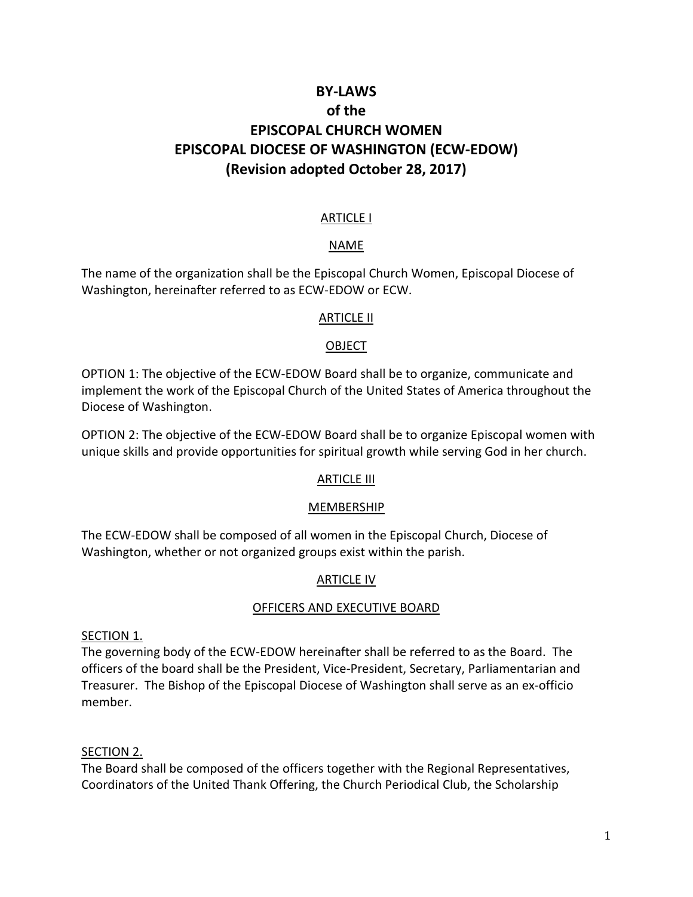# **BY-LAWS of the EPISCOPAL CHURCH WOMEN EPISCOPAL DIOCESE OF WASHINGTON (ECW-EDOW) (Revision adopted October 28, 2017)**

#### **ARTICLE I**

#### NAME

The name of the organization shall be the Episcopal Church Women, Episcopal Diocese of Washington, hereinafter referred to as ECW-EDOW or ECW.

#### ARTICLE II

#### **OBJECT**

OPTION 1: The objective of the ECW-EDOW Board shall be to organize, communicate and implement the work of the Episcopal Church of the United States of America throughout the Diocese of Washington.

OPTION 2: The objective of the ECW-EDOW Board shall be to organize Episcopal women with unique skills and provide opportunities for spiritual growth while serving God in her church.

#### **ARTICLE III**

#### MEMBERSHIP

The ECW-EDOW shall be composed of all women in the Episcopal Church, Diocese of Washington, whether or not organized groups exist within the parish.

#### ARTICLE IV

#### OFFICERS AND EXECUTIVE BOARD

#### SECTION 1.

The governing body of the ECW-EDOW hereinafter shall be referred to as the Board. The officers of the board shall be the President, Vice-President, Secretary, Parliamentarian and Treasurer. The Bishop of the Episcopal Diocese of Washington shall serve as an ex-officio member.

#### SECTION 2.

The Board shall be composed of the officers together with the Regional Representatives, Coordinators of the United Thank Offering, the Church Periodical Club, the Scholarship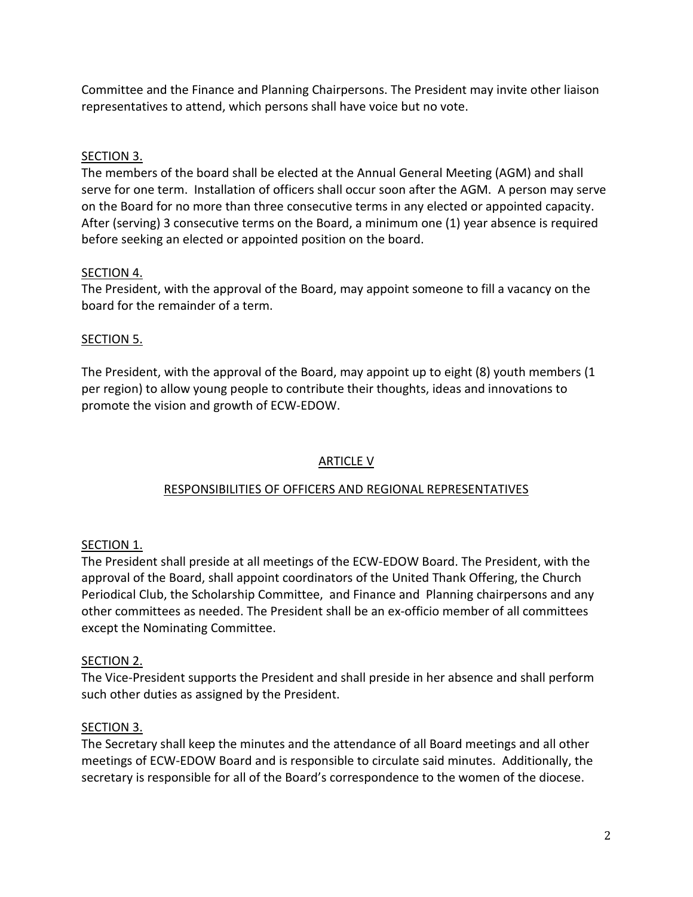Committee and the Finance and Planning Chairpersons. The President may invite other liaison representatives to attend, which persons shall have voice but no vote.

## SECTION 3.

The members of the board shall be elected at the Annual General Meeting (AGM) and shall serve for one term. Installation of officers shall occur soon after the AGM. A person may serve on the Board for no more than three consecutive terms in any elected or appointed capacity. After (serving) 3 consecutive terms on the Board, a minimum one (1) year absence is required before seeking an elected or appointed position on the board.

## SECTION 4.

The President, with the approval of the Board, may appoint someone to fill a vacancy on the board for the remainder of a term.

## SECTION 5.

The President, with the approval of the Board, may appoint up to eight (8) youth members (1 per region) to allow young people to contribute their thoughts, ideas and innovations to promote the vision and growth of ECW-EDOW.

## ARTICLE V

## RESPONSIBILITIES OF OFFICERS AND REGIONAL REPRESENTATIVES

## SECTION 1.

The President shall preside at all meetings of the ECW-EDOW Board. The President, with the approval of the Board, shall appoint coordinators of the United Thank Offering, the Church Periodical Club, the Scholarship Committee, and Finance and Planning chairpersons and any other committees as needed. The President shall be an ex-officio member of all committees except the Nominating Committee.

## SECTION 2.

The Vice-President supports the President and shall preside in her absence and shall perform such other duties as assigned by the President.

## SECTION 3.

The Secretary shall keep the minutes and the attendance of all Board meetings and all other meetings of ECW-EDOW Board and is responsible to circulate said minutes. Additionally, the secretary is responsible for all of the Board's correspondence to the women of the diocese.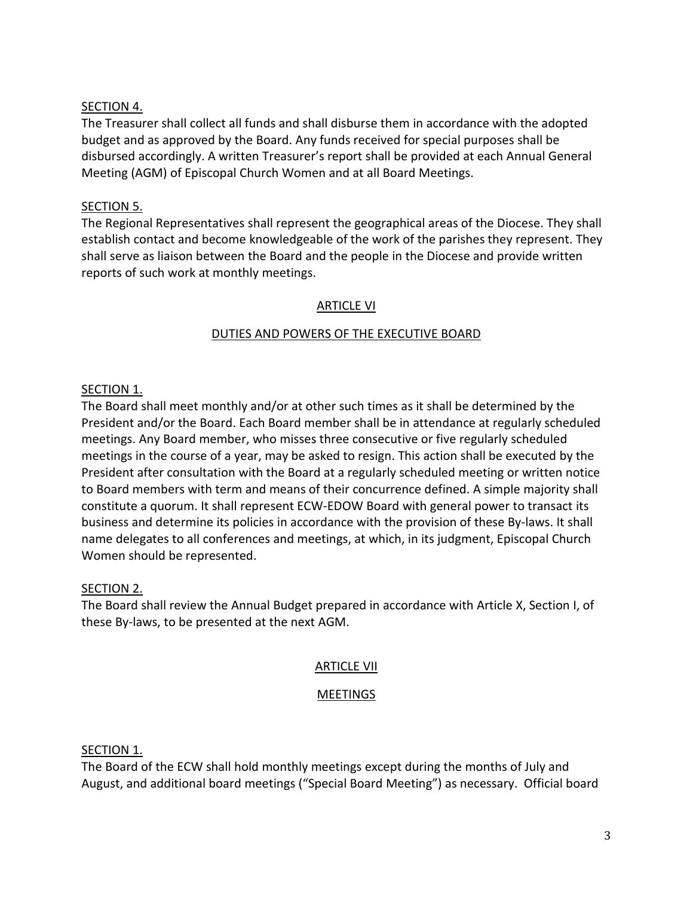## SECTION 4.

The Treasurer shall collect all funds and shall disburse them in accordance with the adopted budget and as approved by the Board. Any funds received for special purposes shall be disbursed accordingly. A written Treasurer's report shall be provided at each Annual General Meeting (AGM) of Episcopal Church Women and at all Board Meetings.

## SECTION 5.

The Regional Representatives shall represent the geographical areas of the Diocese. They shall establish contact and become knowledgeable of the work of the parishes they represent. They shall serve as liaison between the Board and the people in the Diocese and provide written reports of such work at monthly meetings.

## ARTICLE VI

## DUTIES AND POWERS OF THE EXECUTIVE BOARD

## SECTION<sub>1</sub>.

The Board shall meet monthly and/or at other such times as it shall be determined by the President and/or the Board. Each Board member shall be in attendance at regularly scheduled meetings. Any Board member, who misses three consecutive or five regularly scheduled meetings in the course of a year, may be asked to resign. This action shall be executed by the President after consultation with the Board at a regularly scheduled meeting or written notice to Board members with term and means of their concurrence defined. A simple majority shall constitute a quorum. It shall represent ECW-EDOW Board with general power to transact its business and determine its policies in accordance with the provision of these By-laws. It shall name delegates to all conferences and meetings, at which, in its judgment, Episcopal Church Women should be represented.

## SECTION 2.

The Board shall review the Annual Budget prepared in accordance with Article X, Section I, of these By-laws, to be presented at the next AGM.

## ARTICLE VII

## MEETINGS

## SECTION 1.

The Board of the ECW shall hold monthly meetings except during the months of July and August, and additional board meetings ("Special Board Meeting") as necessary. Official board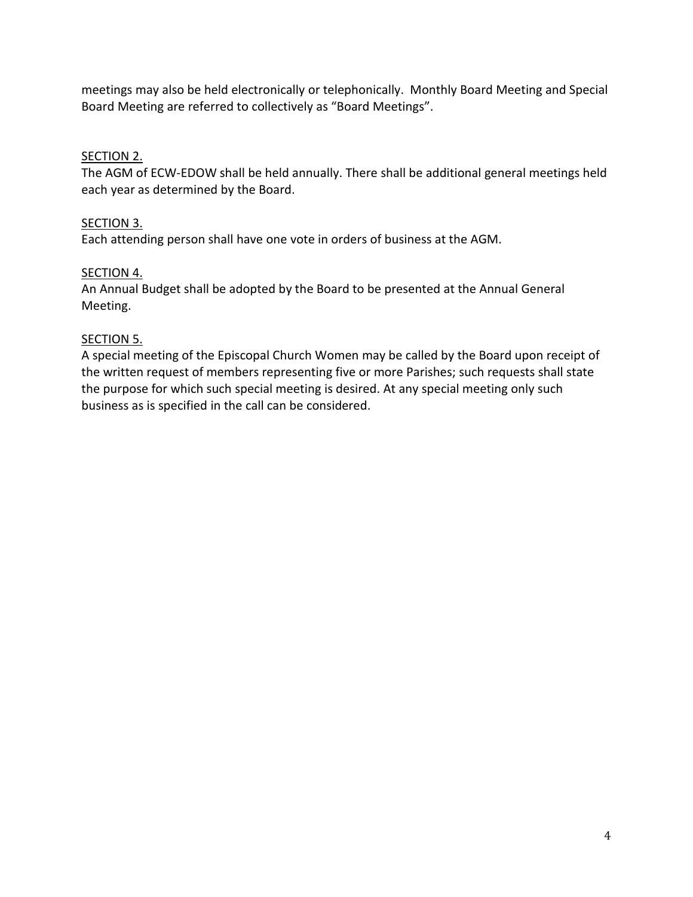meetings may also be held electronically or telephonically. Monthly Board Meeting and Special Board Meeting are referred to collectively as "Board Meetings".

## SECTION 2.

The AGM of ECW-EDOW shall be held annually. There shall be additional general meetings held each year as determined by the Board.

## SECTION 3.

Each attending person shall have one vote in orders of business at the AGM.

## SECTION 4.

An Annual Budget shall be adopted by the Board to be presented at the Annual General Meeting.

## SECTION 5.

A special meeting of the Episcopal Church Women may be called by the Board upon receipt of the written request of members representing five or more Parishes; such requests shall state the purpose for which such special meeting is desired. At any special meeting only such business as is specified in the call can be considered.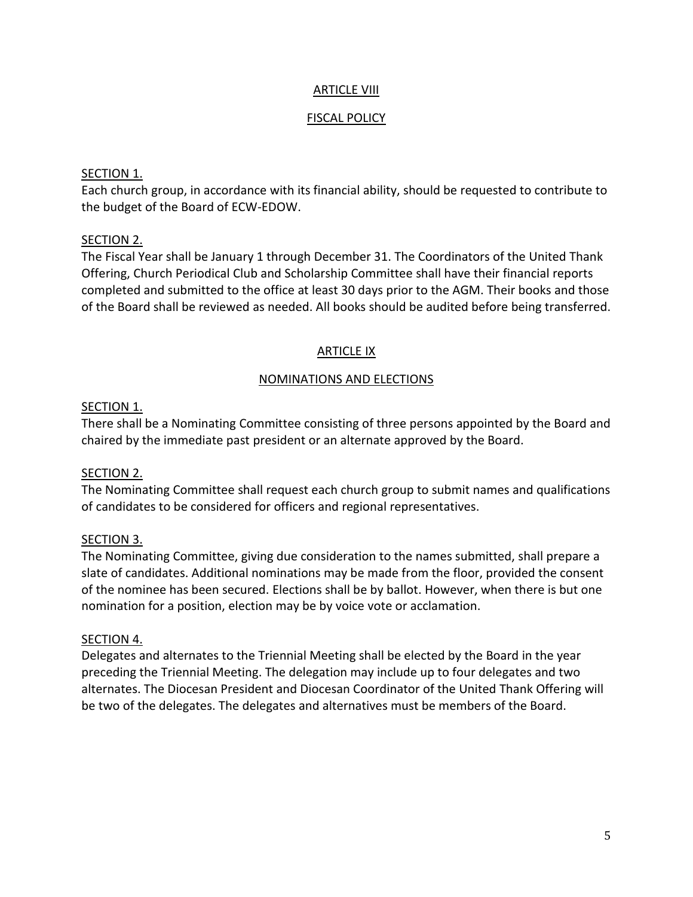## ARTICLE VIII

#### FISCAL POLICY

#### SECTION 1.

Each church group, in accordance with its financial ability, should be requested to contribute to the budget of the Board of ECW-EDOW.

#### SECTION 2.

The Fiscal Year shall be January 1 through December 31. The Coordinators of the United Thank Offering, Church Periodical Club and Scholarship Committee shall have their financial reports completed and submitted to the office at least 30 days prior to the AGM. Their books and those of the Board shall be reviewed as needed. All books should be audited before being transferred.

#### ARTICLE IX

#### NOMINATIONS AND ELECTIONS

#### SECTION 1.

There shall be a Nominating Committee consisting of three persons appointed by the Board and chaired by the immediate past president or an alternate approved by the Board.

#### SECTION 2.

The Nominating Committee shall request each church group to submit names and qualifications of candidates to be considered for officers and regional representatives.

## SECTION 3.

The Nominating Committee, giving due consideration to the names submitted, shall prepare a slate of candidates. Additional nominations may be made from the floor, provided the consent of the nominee has been secured. Elections shall be by ballot. However, when there is but one nomination for a position, election may be by voice vote or acclamation.

#### SECTION 4.

Delegates and alternates to the Triennial Meeting shall be elected by the Board in the year preceding the Triennial Meeting. The delegation may include up to four delegates and two alternates. The Diocesan President and Diocesan Coordinator of the United Thank Offering will be two of the delegates. The delegates and alternatives must be members of the Board.